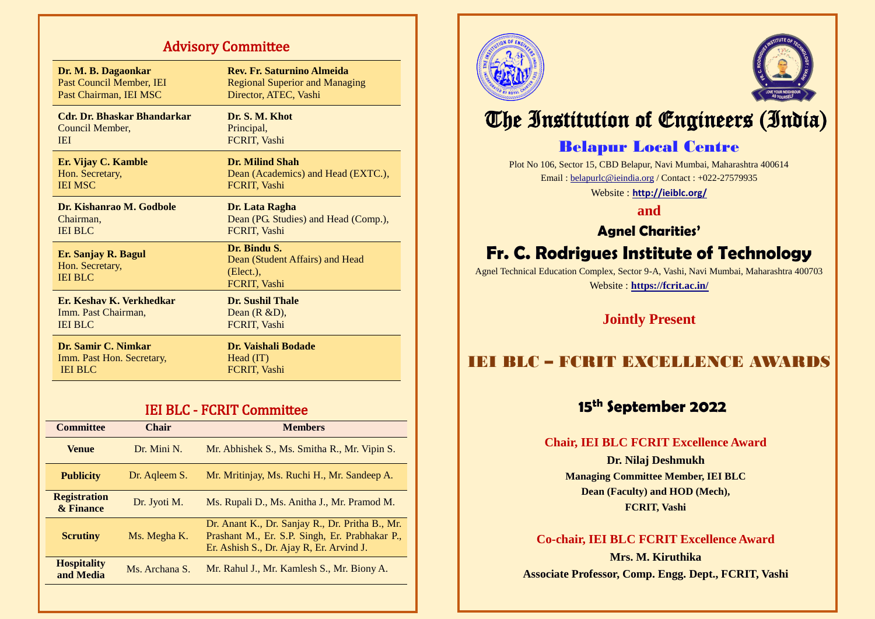# Advisory Committee

| Dr. M. B. Dagaonkar                                      | Rev. Fr. Saturnino Almeida                                                      |
|----------------------------------------------------------|---------------------------------------------------------------------------------|
| Past Council Member, IEI                                 | <b>Regional Superior and Managing</b>                                           |
| Past Chairman, IEI MSC                                   | Director, ATEC, Vashi                                                           |
| Cdr. Dr. Bhaskar Bhandarkar                              | Dr. S. M. Khot                                                                  |
| Council Member,                                          | Principal,                                                                      |
| <b>IEI</b>                                               | FCRIT, Vashi                                                                    |
| Er. Vijay C. Kamble                                      | Dr. Milind Shah                                                                 |
| Hon. Secretary,                                          | Dean (Academics) and Head (EXTC.),                                              |
| <b>IEI MSC</b>                                           | FCRIT, Vashi                                                                    |
| Dr. Kishanrao M. Godbole                                 | Dr. Lata Ragha                                                                  |
| Chairman,                                                | Dean (PG. Studies) and Head (Comp.),                                            |
| <b>IEI BLC</b>                                           | FCRIT, Vashi                                                                    |
| Er. Sanjay R. Bagul<br>Hon. Secretary,<br><b>IEI BLC</b> | Dr. Bindu S.<br>Dean (Student Affairs) and Head<br>$(Elect.)$ ,<br>FCRIT, Vashi |
| Er. Keshav K. Verkhedkar                                 | <b>Dr. Sushil Thale</b>                                                         |
| Imm. Past Chairman,                                      | Dean $(R & D)$ ,                                                                |
| <b>IEI BLC</b>                                           | FCRIT, Vashi                                                                    |
| Dr. Samir C. Nimkar                                      | <b>Dr. Vaishali Bodade</b>                                                      |
| Imm. Past Hon. Secretary,                                | Head (IT)                                                                       |
| <b>IEI BLC</b>                                           | FCRIT, Vashi                                                                    |

# IEI BLC - FCRIT Committee

| <b>Committee</b>                 | <b>Chair</b>   | <b>Members</b>                                                                                                                                |
|----------------------------------|----------------|-----------------------------------------------------------------------------------------------------------------------------------------------|
| <b>Venue</b>                     | Dr. Mini N.    | Mr. Abhishek S., Ms. Smitha R., Mr. Vipin S.                                                                                                  |
| <b>Publicity</b>                 | Dr. Aqleem S.  | Mr. Mritinjay, Ms. Ruchi H., Mr. Sandeep A.                                                                                                   |
| <b>Registration</b><br>& Finance | Dr. Jyoti M.   | Ms. Rupali D., Ms. Anitha J., Mr. Pramod M.                                                                                                   |
| <b>Scrutiny</b>                  | Ms. Megha K.   | Dr. Anant K., Dr. Sanjay R., Dr. Pritha B., Mr.<br>Prashant M., Er. S.P. Singh, Er. Prabhakar P.,<br>Er. Ashish S., Dr. Ajay R, Er. Arvind J. |
| <b>Hospitality</b><br>and Media  | Ms. Archana S. | Mr. Rahul J., Mr. Kamlesh S., Mr. Biony A.                                                                                                    |
|                                  |                |                                                                                                                                               |





# The Institution of Engineers (India)

# Belapur Local Centre

Plot No 106, Sector 15, CBD Belapur, Navi Mumbai, Maharashtra 400614 Email [: belapurlc@ieindia.org](mailto:cvs.hqs@covs.in) / Contact : +022-27579935 Website : **<http://ieiblc.org/>**

**and**

**Agnel Charities'**

# **Fr. C. Rodrigues Institute of Technology**

Agnel Technical Education Complex, Sector 9-A, Vashi, Navi Mumbai, Maharashtra 400703

Website : **<https://fcrit.ac.in/>**

**Jointly Present**

# IEI BLC – FCRIT EXCELLENCE AWARDS

# **15th September 2022**

### **Chair, IEI BLC FCRIT Excellence Award**

**Dr. Nilaj Deshmukh Managing Committee Member, IEI BLC Dean (Faculty) and HOD (Mech), FCRIT, Vashi**

### **Co-chair, IEI BLC FCRIT Excellence Award**

**Mrs. M. Kiruthika Associate Professor, Comp. Engg. Dept., FCRIT, Vashi**